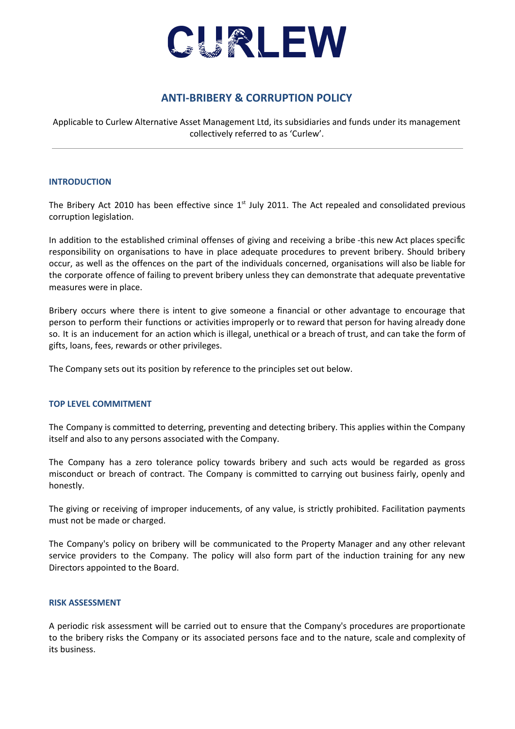

# **ANTI-BRIBERY & CORRUPTION POLICY**

Applicable to Curlew Alternative Asset Management Ltd, its subsidiaries and funds under its management collectively referred to as 'Curlew'.

## **INTRODUCTION**

The Bribery Act 2010 has been effective since  $1<sup>st</sup>$  July 2011. The Act repealed and consolidated previous corruption legislation.

In addition to the established criminal offenses of giving and receiving a bribe -this new Act places specific responsibility on organisations to have in place adequate procedures to prevent bribery. Should bribery occur, as well as the offences on the part of the individuals concerned, organisations will also be liable for the corporate offence of failing to prevent bribery unless they can demonstrate that adequate preventative measures were in place.

Bribery occurs where there is intent to give someone a financial or other advantage to encourage that person to perform their functions or activities improperly or to reward that person for having already done so. It is an inducement for an action which is illegal, unethical or a breach of trust, and can take the form of gifts, loans, fees, rewards or other privileges.

The Company sets out its position by reference to the principles set out below.

# **TOP LEVEL COMMITMENT**

The Company is committed to deterring, preventing and detecting bribery. This applies within the Company itself and also to any persons associated with the Company.

The Company has a zero tolerance policy towards bribery and such acts would be regarded as gross misconduct or breach of contract. The Company is committed to carrying out business fairly, openly and honestly.

The giving or receiving of improper inducements, of any value, is strictly prohibited. Facilitation payments must not be made or charged.

The Company's policy on bribery will be communicated to the Property Manager and any other relevant service providers to the Company. The policy will also form part of the induction training for any new Directors appointed to the Board.

#### **RISK ASSESSMENT**

A periodic risk assessment will be carried out to ensure that the Company's procedures are proportionate to the bribery risks the Company or its associated persons face and to the nature, scale and complexity of its business.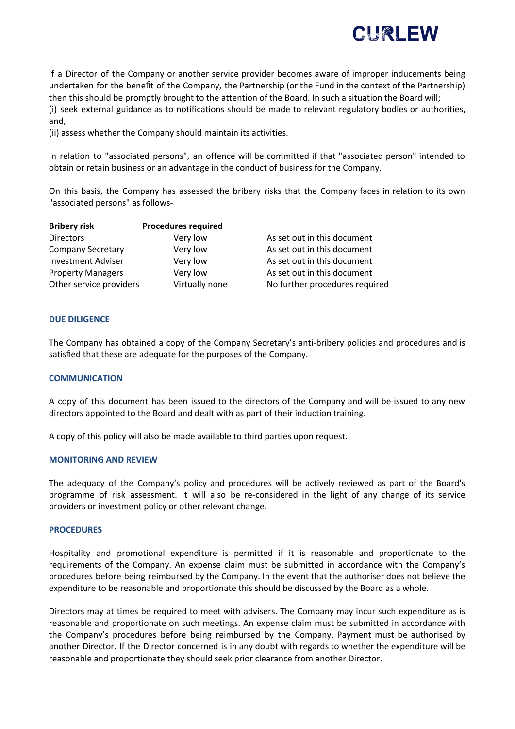

If a Director of the Company or another service provider becomes aware of improper inducements being undertaken for the benefit of the Company, the Partnership (or the Fund in the context of the Partnership) then this should be promptly brought to the attention of the Board. In such a situation the Board will; (i) seek external guidance as to notifications should be made to relevant regulatory bodies or authorities, and,

(ii) assess whether the Company should maintain its activities.

In relation to "associated persons", an offence will be committed if that "associated person" intended to obtain or retain business or an advantage in the conduct of business for the Company.

On this basis, the Company has assessed the bribery risks that the Company faces in relation to its own "associated persons" as follows-

| <b>Bribery risk</b>       | <b>Procedures required</b> |                                |
|---------------------------|----------------------------|--------------------------------|
| <b>Directors</b>          | Very low                   | As set out in this document    |
| <b>Company Secretary</b>  | Very low                   | As set out in this document    |
| <b>Investment Adviser</b> | Very low                   | As set out in this document    |
| <b>Property Managers</b>  | Very low                   | As set out in this document    |
| Other service providers   | Virtually none             | No further procedures required |

#### **DUE DILIGENCE**

The Company has obtained a copy of the Company Secretary's anti-bribery policies and procedures and is satisfied that these are adequate for the purposes of the Company.

#### **COMMUNICATION**

A copy of this document has been issued to the directors of the Company and will be issued to any new directors appointed to the Board and dealt with as part of their induction training.

A copy of this policy will also be made available to third parties upon request.

#### **MONITORING AND REVIEW**

The adequacy of the Company's policy and procedures will be actively reviewed as part of the Board's programme of risk assessment. It will also be re-considered in the light of any change of its service providers or investment policy or other relevant change.

#### **PROCEDURES**

Hospitality and promotional expenditure is permitted if it is reasonable and proportionate to the requirements of the Company. An expense claim must be submitted in accordance with the Company's procedures before being reimbursed by the Company. In the event that the authoriser does not believe the expenditure to be reasonable and proportionate this should be discussed by the Board as a whole.

Directors may at times be required to meet with advisers. The Company may incur such expenditure as is reasonable and proportionate on such meetings. An expense claim must be submitted in accordance with the Company's procedures before being reimbursed by the Company. Payment must be authorised by another Director. If the Director concerned is in any doubt with regards to whether the expenditure will be reasonable and proportionate they should seek prior clearance from another Director.